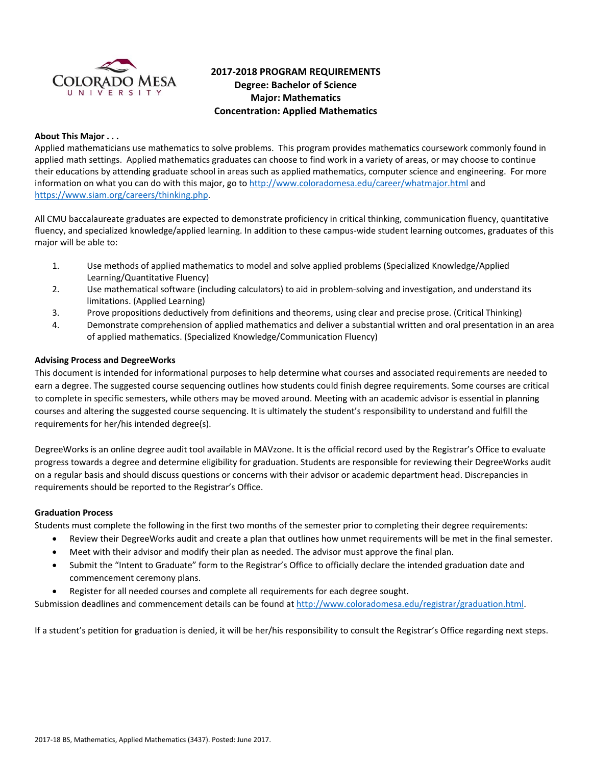

# **2017‐2018 PROGRAM REQUIREMENTS Degree: Bachelor of Science Major: Mathematics Concentration: Applied Mathematics**

# **About This Major . . .**

Applied mathematicians use mathematics to solve problems. This program provides mathematics coursework commonly found in applied math settings. Applied mathematics graduates can choose to find work in a variety of areas, or may choose to continue their educations by attending graduate school in areas such as applied mathematics, computer science and engineering. For more information on what you can do with this major, go to http://www.coloradomesa.edu/career/whatmajor.html and https://www.siam.org/careers/thinking.php.

All CMU baccalaureate graduates are expected to demonstrate proficiency in critical thinking, communication fluency, quantitative fluency, and specialized knowledge/applied learning. In addition to these campus‐wide student learning outcomes, graduates of this major will be able to:

- 1. Use methods of applied mathematics to model and solve applied problems (Specialized Knowledge/Applied Learning/Quantitative Fluency)
- 2. Use mathematical software (including calculators) to aid in problem‐solving and investigation, and understand its limitations. (Applied Learning)
- 3. Prove propositions deductively from definitions and theorems, using clear and precise prose. (Critical Thinking)
- 4. Demonstrate comprehension of applied mathematics and deliver a substantial written and oral presentation in an area of applied mathematics. (Specialized Knowledge/Communication Fluency)

## **Advising Process and DegreeWorks**

This document is intended for informational purposes to help determine what courses and associated requirements are needed to earn a degree. The suggested course sequencing outlines how students could finish degree requirements. Some courses are critical to complete in specific semesters, while others may be moved around. Meeting with an academic advisor is essential in planning courses and altering the suggested course sequencing. It is ultimately the student's responsibility to understand and fulfill the requirements for her/his intended degree(s).

DegreeWorks is an online degree audit tool available in MAVzone. It is the official record used by the Registrar's Office to evaluate progress towards a degree and determine eligibility for graduation. Students are responsible for reviewing their DegreeWorks audit on a regular basis and should discuss questions or concerns with their advisor or academic department head. Discrepancies in requirements should be reported to the Registrar's Office.

#### **Graduation Process**

Students must complete the following in the first two months of the semester prior to completing their degree requirements:

- Review their DegreeWorks audit and create a plan that outlines how unmet requirements will be met in the final semester.
- Meet with their advisor and modify their plan as needed. The advisor must approve the final plan.
- Submit the "Intent to Graduate" form to the Registrar's Office to officially declare the intended graduation date and commencement ceremony plans.
- Register for all needed courses and complete all requirements for each degree sought.

Submission deadlines and commencement details can be found at http://www.coloradomesa.edu/registrar/graduation.html.

If a student's petition for graduation is denied, it will be her/his responsibility to consult the Registrar's Office regarding next steps.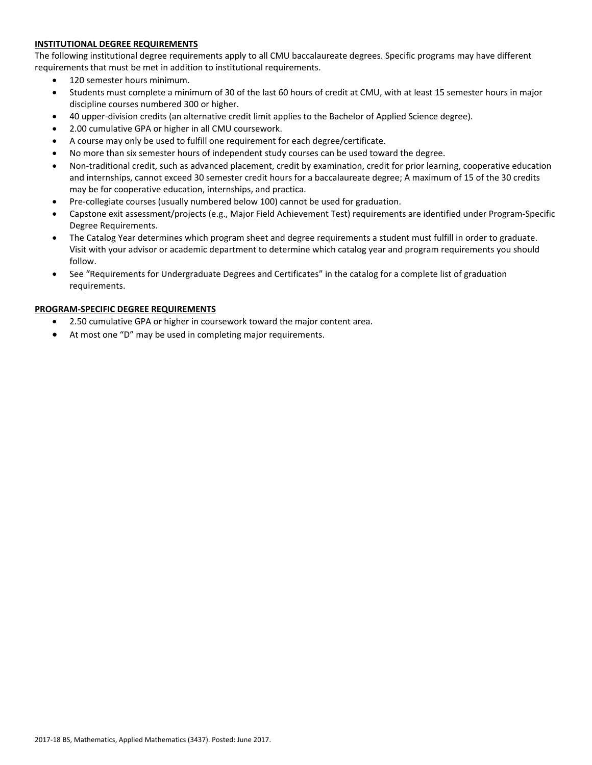## **INSTITUTIONAL DEGREE REQUIREMENTS**

The following institutional degree requirements apply to all CMU baccalaureate degrees. Specific programs may have different requirements that must be met in addition to institutional requirements.

- 120 semester hours minimum.
- Students must complete a minimum of 30 of the last 60 hours of credit at CMU, with at least 15 semester hours in major discipline courses numbered 300 or higher.
- 40 upper‐division credits (an alternative credit limit applies to the Bachelor of Applied Science degree).
- 2.00 cumulative GPA or higher in all CMU coursework.
- A course may only be used to fulfill one requirement for each degree/certificate.
- No more than six semester hours of independent study courses can be used toward the degree.
- Non-traditional credit, such as advanced placement, credit by examination, credit for prior learning, cooperative education and internships, cannot exceed 30 semester credit hours for a baccalaureate degree; A maximum of 15 of the 30 credits may be for cooperative education, internships, and practica.
- Pre-collegiate courses (usually numbered below 100) cannot be used for graduation.
- Capstone exit assessment/projects (e.g., Major Field Achievement Test) requirements are identified under Program‐Specific Degree Requirements.
- The Catalog Year determines which program sheet and degree requirements a student must fulfill in order to graduate. Visit with your advisor or academic department to determine which catalog year and program requirements you should follow.
- See "Requirements for Undergraduate Degrees and Certificates" in the catalog for a complete list of graduation requirements.

## **PROGRAM‐SPECIFIC DEGREE REQUIREMENTS**

- 2.50 cumulative GPA or higher in coursework toward the major content area.
- At most one "D" may be used in completing major requirements.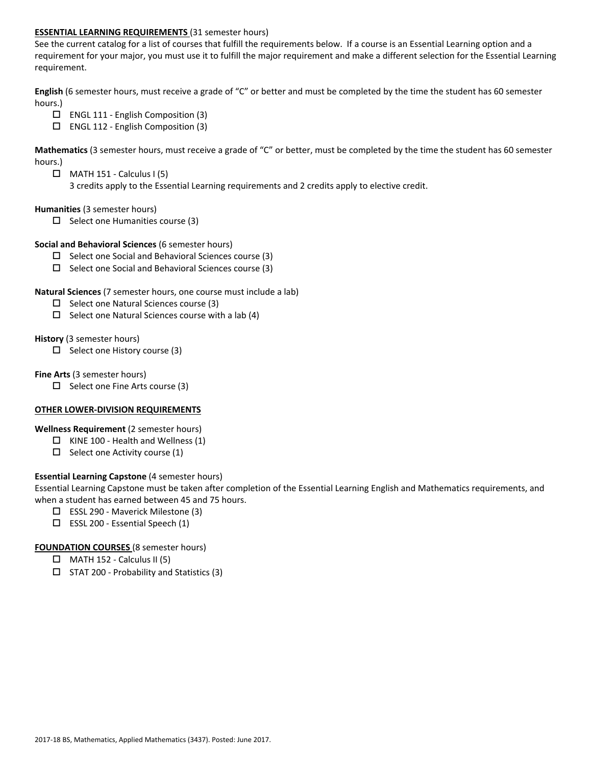### **ESSENTIAL LEARNING REQUIREMENTS** (31 semester hours)

See the current catalog for a list of courses that fulfill the requirements below. If a course is an Essential Learning option and a requirement for your major, you must use it to fulfill the major requirement and make a different selection for the Essential Learning requirement.

**English** (6 semester hours, must receive a grade of "C" or better and must be completed by the time the student has 60 semester hours.)

- $\Box$  ENGL 111 English Composition (3)
- ENGL 112 ‐ English Composition (3)

**Mathematics** (3 semester hours, must receive a grade of "C" or better, must be completed by the time the student has 60 semester hours.)

 $\Box$  MATH 151 - Calculus I (5)

3 credits apply to the Essential Learning requirements and 2 credits apply to elective credit.

### **Humanities** (3 semester hours)

 $\Box$  Select one Humanities course (3)

#### **Social and Behavioral Sciences** (6 semester hours)

- $\square$  Select one Social and Behavioral Sciences course (3)
- $\Box$  Select one Social and Behavioral Sciences course (3)

### **Natural Sciences** (7 semester hours, one course must include a lab)

- $\Box$  Select one Natural Sciences course (3)
- $\Box$  Select one Natural Sciences course with a lab (4)

#### **History** (3 semester hours)

 $\square$  Select one History course (3)

#### **Fine Arts** (3 semester hours)

 $\square$  Select one Fine Arts course (3)

## **OTHER LOWER‐DIVISION REQUIREMENTS**

#### **Wellness Requirement** (2 semester hours)

- $\Box$  KINE 100 Health and Wellness (1)
- $\Box$  Select one Activity course (1)

## **Essential Learning Capstone** (4 semester hours)

Essential Learning Capstone must be taken after completion of the Essential Learning English and Mathematics requirements, and when a student has earned between 45 and 75 hours.

- ESSL 290 ‐ Maverick Milestone (3)
- $\square$  ESSL 200 Essential Speech (1)

## **FOUNDATION COURSES** (8 semester hours)

- $\Box$  MATH 152 Calculus II (5)
- $\square$  STAT 200 Probability and Statistics (3)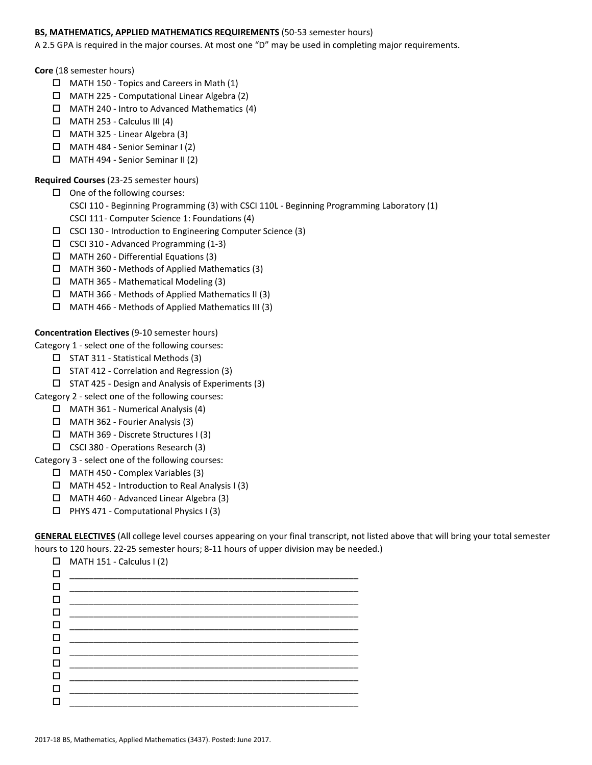## **BS, MATHEMATICS, APPLIED MATHEMATICS REQUIREMENTS** (50-53 semester hours)

A 2.5 GPA is required in the major courses. At most one "D" may be used in completing major requirements.

#### **Core** (18 semester hours)

- $\Box$  MATH 150 Topics and Careers in Math (1)
- MATH 225 ‐ Computational Linear Algebra (2)
- $\Box$  MATH 240 Intro to Advanced Mathematics (4)
- $\Box$  MATH 253 Calculus III (4)
- MATH 325 ‐ Linear Algebra (3)
- MATH 484 ‐ Senior Seminar I (2)
- MATH 494 ‐ Senior Seminar II (2)

# **Required Courses** (23‐25 semester hours)

- $\Box$  One of the following courses:
	- CSCI 110 ‐ Beginning Programming (3) with CSCI 110L ‐ Beginning Programming Laboratory (1)
	- CSCI 111 ‐ Computer Science 1: Foundations (4)
- CSCI 130 ‐ Introduction to Engineering Computer Science (3)
- CSCI 310 ‐ Advanced Programming (1‐3)
- MATH 260 ‐ Differential Equations (3)
- $\Box$  MATH 360 Methods of Applied Mathematics (3)
- MATH 365 ‐ Mathematical Modeling (3)
- $\Box$  MATH 366 Methods of Applied Mathematics II (3)
- MATH 466 ‐ Methods of Applied Mathematics III (3)

# **Concentration Electives** (9‐10 semester hours)

Category 1 ‐ select one of the following courses:

- $\Box$  STAT 311 Statistical Methods (3)
- STAT 412 ‐ Correlation and Regression (3)
- $\Box$  STAT 425 Design and Analysis of Experiments (3)
- Category 2 ‐ select one of the following courses:
	- MATH 361 ‐ Numerical Analysis (4)
	- $\Box$  MATH 362 Fourier Analysis (3)
	- MATH 369 ‐ Discrete Structures I (3)
	- CSCI 380 ‐ Operations Research (3)

## Category 3 ‐ select one of the following courses:

- MATH 450 ‐ Complex Variables (3)
- $\Box$  MATH 452 Introduction to Real Analysis I (3)
- MATH 460 ‐ Advanced Linear Algebra (3)
- $\Box$  PHYS 471 Computational Physics I (3)

**GENERAL ELECTIVES** (All college level courses appearing on your final transcript, not listed above that will bring your total semester hours to 120 hours. 22-25 semester hours; 8-11 hours of upper division may be needed.)

|        | $\Box$ MATH 151 - Calculus I (2)                                           |
|--------|----------------------------------------------------------------------------|
| П      | the control of the control of the control of the control of the control of |
| П      |                                                                            |
| П      |                                                                            |
|        |                                                                            |
|        |                                                                            |
|        |                                                                            |
| П      |                                                                            |
| □      |                                                                            |
| □      |                                                                            |
| $\Box$ |                                                                            |
|        |                                                                            |
|        |                                                                            |